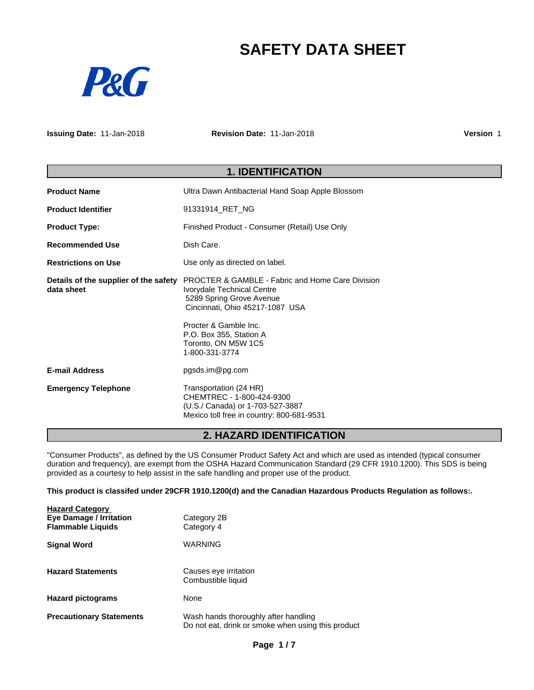# **SAFETY DATA SHEET**



**Issuing Date:** 11-Jan-2018 **Revision Date:** 11-Jan-2018 **Version** 1

# **1. IDENTIFICATION Product Name** Ultra Dawn Antibacterial Hand Soap Apple Blossom **Product Identifier** 91331914\_RET\_NG **Product Type:** Finished Product - Consumer (Retail) Use Only **Recommended Use** Dish Care. **Restrictions on Use by** Use only as directed on label. **Details of the supplier of the safety data sheet** PROCTER & GAMBLE - Fabric and Home Care Division Ivorydale Technical Centre 5289 Spring Grove Avenue Cincinnati, Ohio 45217-1087 USA Procter & Gamble Inc. P.O. Box 355, Station A Toronto, ON M5W 1C5 1-800-331-3774 **E-mail Address** pgsds.im@pg.com **Emergency Telephone Transportation (24 HR)** CHEMTREC - 1-800-424-9300 (U.S./ Canada) or 1-703-527-3887 Mexico toll free in country: 800-681-9531

# **2. HAZARD IDENTIFICATION**

"Consumer Products", as defined by the US Consumer Product Safety Act and which are used as intended (typical consumer duration and frequency), are exempt from the OSHA Hazard Communication Standard (29 CFR 1910.1200). This SDS is being provided as a courtesy to help assist in the safe handling and proper use of the product.

### **This product is classifed under 29CFR 1910.1200(d) and the Canadian Hazardous Products Regulation as follows:.**

| <b>Hazard Category</b>          |                                                                                            |
|---------------------------------|--------------------------------------------------------------------------------------------|
| <b>Eye Damage / Irritation</b>  | Category 2B                                                                                |
| <b>Flammable Liquids</b>        | Category 4                                                                                 |
| <b>Signal Word</b>              | WARNING                                                                                    |
| <b>Hazard Statements</b>        | Causes eye irritation<br>Combustible liquid                                                |
| <b>Hazard pictograms</b>        | None                                                                                       |
| <b>Precautionary Statements</b> | Wash hands thoroughly after handling<br>Do not eat, drink or smoke when using this product |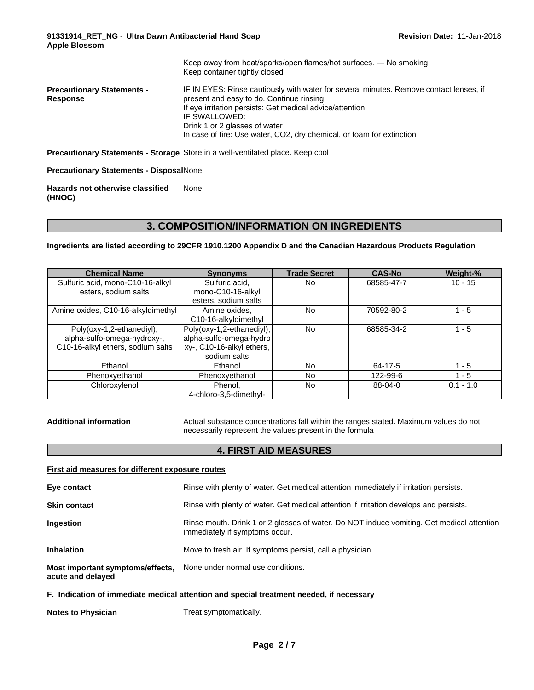|                                               | Keep away from heat/sparks/open flames/hot surfaces. — No smoking<br>Keep container tightly closed                                                                                                                                                                                                                        |
|-----------------------------------------------|---------------------------------------------------------------------------------------------------------------------------------------------------------------------------------------------------------------------------------------------------------------------------------------------------------------------------|
| <b>Precautionary Statements -</b><br>Response | IF IN EYES: Rinse cautiously with water for several minutes. Remove contact lenses, if<br>present and easy to do. Continue rinsing<br>If eye irritation persists: Get medical advice/attention<br>IF SWALLOWED:<br>Drink 1 or 2 glasses of water<br>In case of fire: Use water, CO2, dry chemical, or foam for extinction |
|                                               | Precautionary Statements - Storage Store in a well-ventilated place. Keep cool                                                                                                                                                                                                                                            |

**Precautionary Statements - Disposal**None

**Hazards not otherwise classified (HNOC)** None

# **3. COMPOSITION/INFORMATION ON INGREDIENTS**

**Ingredients are listed according to 29CFR 1910.1200 Appendix D and the Canadian Hazardous Products Regulation**

| <b>Chemical Name</b>               | <b>Synonyms</b>           | <b>Trade Secret</b> | <b>CAS-No</b> | Weight-%    |
|------------------------------------|---------------------------|---------------------|---------------|-------------|
| Sulfuric acid, mono-C10-16-alkyl   | Sulfuric acid.            | No                  | 68585-47-7    | $10 - 15$   |
| esters, sodium salts               | mono-C10-16-alkyl         |                     |               |             |
|                                    | esters, sodium salts      |                     |               |             |
| Amine oxides, C10-16-alkyldimethyl | Amine oxides,             | <b>No</b>           | 70592-80-2    | 1 - 5       |
|                                    | C10-16-alkyldimethyl      |                     |               |             |
| Poly(oxy-1,2-ethanediyl),          | Poly(oxy-1,2-ethanediyl), | <b>No</b>           | 68585-34-2    | 1 - 5       |
| alpha-sulfo-omega-hydroxy-,        | alpha-sulfo-omega-hydro   |                     |               |             |
| C10-16-alkyl ethers, sodium salts  | xy-, C10-16-alkyl ethers, |                     |               |             |
|                                    | sodium salts              |                     |               |             |
| Ethanol                            | Ethanol                   | No                  | 64-17-5       | $1 - 5$     |
| Phenoxyethanol                     | Phenoxyethanol            | No                  | 122-99-6      | 1 - 5       |
| Chloroxylenol                      | Phenol,                   | No                  | 88-04-0       | $0.1 - 1.0$ |
|                                    | 4-chloro-3,5-dimethyl-    |                     |               |             |

Additional information **Actual substance concentrations fall within the ranges stated. Maximum values do not** necessarily represent the values present in the formula

# **4. FIRST AID MEASURES**

| First aid measures for different exposure routes                                               |                                                                                                                             |  |  |
|------------------------------------------------------------------------------------------------|-----------------------------------------------------------------------------------------------------------------------------|--|--|
| Eye contact                                                                                    | Rinse with plenty of water. Get medical attention immediately if irritation persists.                                       |  |  |
| <b>Skin contact</b>                                                                            | Rinse with plenty of water. Get medical attention if irritation develops and persists.                                      |  |  |
| Ingestion                                                                                      | Rinse mouth. Drink 1 or 2 glasses of water. Do NOT induce vomiting. Get medical attention<br>immediately if symptoms occur. |  |  |
| <b>Inhalation</b>                                                                              | Move to fresh air. If symptoms persist, call a physician.                                                                   |  |  |
| <b>Most important symptoms/effects.</b> None under normal use conditions.<br>acute and delayed |                                                                                                                             |  |  |
| F. Indication of immediate medical attention and special treatment needed, if necessary        |                                                                                                                             |  |  |

**Notes to Physician** Treat symptomatically.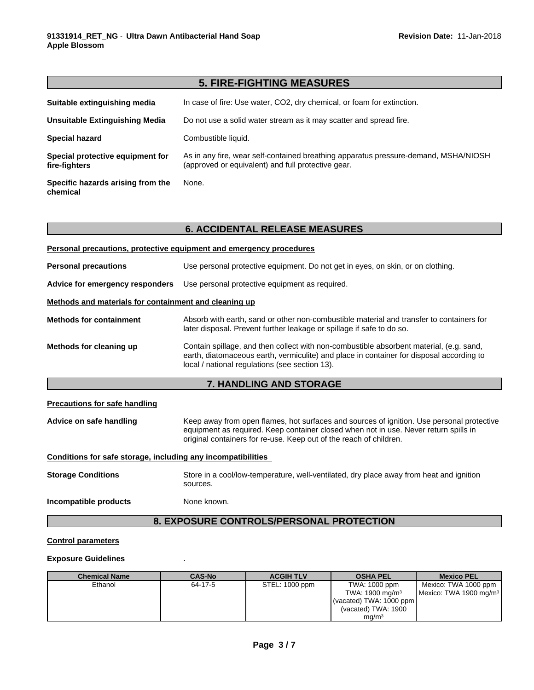|                                                   | <b>5. FIRE-FIGHTING MEASURES</b>                                                                                                          |
|---------------------------------------------------|-------------------------------------------------------------------------------------------------------------------------------------------|
| Suitable extinguishing media                      | In case of fire: Use water, CO2, dry chemical, or foam for extinction.                                                                    |
| Unsuitable Extinguishing Media                    | Do not use a solid water stream as it may scatter and spread fire.                                                                        |
| <b>Special hazard</b>                             | Combustible liquid.                                                                                                                       |
| Special protective equipment for<br>fire-fighters | As in any fire, wear self-contained breathing apparatus pressure-demand, MSHA/NIOSH<br>(approved or equivalent) and full protective gear. |
| Specific hazards arising from the<br>chemical     | None.                                                                                                                                     |

|                                                              | Personal precautions, protective equipment and emergency procedures                                                                                                                                                                                     |  |  |  |
|--------------------------------------------------------------|---------------------------------------------------------------------------------------------------------------------------------------------------------------------------------------------------------------------------------------------------------|--|--|--|
| <b>Personal precautions</b>                                  | Use personal protective equipment. Do not get in eyes, on skin, or on clothing.                                                                                                                                                                         |  |  |  |
| Advice for emergency responders                              | Use personal protective equipment as required.                                                                                                                                                                                                          |  |  |  |
| Methods and materials for containment and cleaning up        |                                                                                                                                                                                                                                                         |  |  |  |
| <b>Methods for containment</b>                               | Absorb with earth, sand or other non-combustible material and transfer to containers for<br>later disposal. Prevent further leakage or spillage if safe to do so.                                                                                       |  |  |  |
| Methods for cleaning up                                      | Contain spillage, and then collect with non-combustible absorbent material, (e.g. sand,<br>earth, diatomaceous earth, vermiculite) and place in container for disposal according to<br>local / national regulations (see section 13).                   |  |  |  |
|                                                              | 7. HANDLING AND STORAGE                                                                                                                                                                                                                                 |  |  |  |
| <b>Precautions for safe handling</b>                         |                                                                                                                                                                                                                                                         |  |  |  |
| Advice on safe handling                                      | Keep away from open flames, hot surfaces and sources of ignition. Use personal protective<br>equipment as required. Keep container closed when not in use. Never return spills in<br>original containers for re-use. Keep out of the reach of children. |  |  |  |
| Conditions for safe storage, including any incompatibilities |                                                                                                                                                                                                                                                         |  |  |  |
| <b>Storage Conditions</b>                                    | Store in a cool/low-temperature, well-ventilated, dry place away from heat and ignition<br>sources.                                                                                                                                                     |  |  |  |
| Incompatible products                                        | None known.                                                                                                                                                                                                                                             |  |  |  |
|                                                              |                                                                                                                                                                                                                                                         |  |  |  |

# **8. EXPOSURE CONTROLS/PERSONAL PROTECTION**

# **Control parameters**

### **Exposure Guidelines** .

| <b>Chemical Name</b> | <b>CAS-No</b> | <b>ACGIH TLV</b> | <b>OSHA PEL</b>            | <b>Mexico PEL</b>                  |
|----------------------|---------------|------------------|----------------------------|------------------------------------|
| Ethanol              | 64-17-5       | STEL: 1000 ppm   | TWA: 1000 ppm              | Mexico: TWA 1000 ppm               |
|                      |               |                  | TWA: $1900 \text{ mg/m}^3$ | Mexico: TWA 1900 mg/m <sup>3</sup> |
|                      |               |                  | (vacated) TWA: $1000$ ppm  |                                    |
|                      |               |                  | (vacated) TWA: 1900        |                                    |
|                      |               |                  | ma/m <sup>3</sup>          |                                    |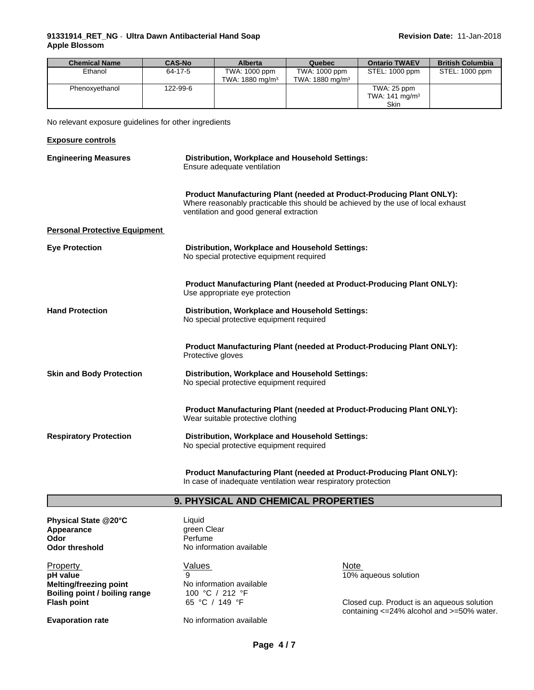### **91331914\_RET\_NG** - **Ultra Dawn AntibacterialHand Soap Apple Blossom**

| <b>Chemical Name</b> | <b>CAS-No</b> | <b>Alberta</b>             | Quebec                     | <b>Ontario TWAEV</b>      | <b>British Columbia</b> |
|----------------------|---------------|----------------------------|----------------------------|---------------------------|-------------------------|
| Ethanol              | 64-17-5       | TWA: 1000 ppm              | TWA: 1000 ppm              | STEL: 1000 ppm            | STEL: 1000 ppm          |
|                      |               | TWA: $1880 \text{ ma/m}^3$ | TWA: $1880 \text{ ma/m}^3$ |                           |                         |
| Phenoxyethanol       | 122-99-6      |                            |                            | TWA: 25 ppm               |                         |
|                      |               |                            |                            | TWA: $141 \text{ mg/m}^3$ |                         |
|                      |               |                            |                            | Skin                      |                         |

No relevant exposure guidelines for other ingredients

| <b>Exposure controls</b>             |                                                                                                                                                                                                             |
|--------------------------------------|-------------------------------------------------------------------------------------------------------------------------------------------------------------------------------------------------------------|
| <b>Engineering Measures</b>          | Distribution, Workplace and Household Settings:<br>Ensure adequate ventilation                                                                                                                              |
|                                      | <b>Product Manufacturing Plant (needed at Product-Producing Plant ONLY):</b><br>Where reasonably practicable this should be achieved by the use of local exhaust<br>ventilation and good general extraction |
| <b>Personal Protective Equipment</b> |                                                                                                                                                                                                             |
| <b>Eye Protection</b>                | Distribution, Workplace and Household Settings:<br>No special protective equipment required                                                                                                                 |
|                                      | <b>Product Manufacturing Plant (needed at Product-Producing Plant ONLY):</b><br>Use appropriate eye protection                                                                                              |
| <b>Hand Protection</b>               | Distribution, Workplace and Household Settings:<br>No special protective equipment required                                                                                                                 |
|                                      | <b>Product Manufacturing Plant (needed at Product-Producing Plant ONLY):</b><br>Protective gloves                                                                                                           |
| <b>Skin and Body Protection</b>      | Distribution, Workplace and Household Settings:<br>No special protective equipment required                                                                                                                 |
|                                      | <b>Product Manufacturing Plant (needed at Product-Producing Plant ONLY):</b><br>Wear suitable protective clothing                                                                                           |
| <b>Respiratory Protection</b>        | Distribution, Workplace and Household Settings:<br>No special protective equipment required                                                                                                                 |

**Product Manufacturing Plant (needed at Product-Producing Plant ONLY):** In case of inadequate ventilation wear respiratory protection

# **9. PHYSICAL AND CHEMICAL PROPERTIES**

**Physical State @20°C** Liquid<br> **Appearance Clear** green Clear **Appearance**<br>Odor **Odor** Perfume<br> **Odor threshold** No inform

Property **Note** Network Values Note Note Note **pH value**<br> **pH value**<br> **Melting/freezing point**<br> **No** information available<br> **Melting/freezing point** 

**Melting/freezing point Boiling point / boiling range 100 °C / 212 °F<br><b>Flash point** 65 °C / 149 °F

**No information available** 

**Evaporation rate** No information available

**Flash point Example 20 65 °C** / 149 °F **Closed cup. Product is an aqueous solution** containing <=24% alcohol and >=50% water.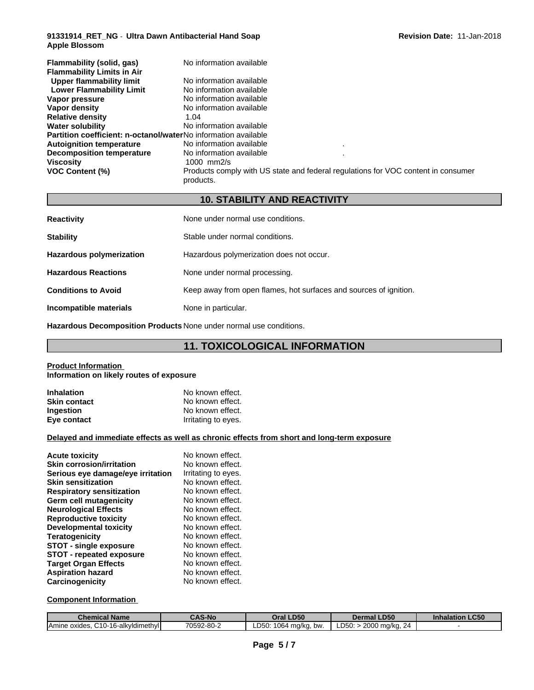### **91331914\_RET\_NG** - **Ultra Dawn AntibacterialHand Soap Apple Blossom**

| Flammability (solid, gas)<br><b>Flammability Limits in Air</b>        | No information available                                                                       |
|-----------------------------------------------------------------------|------------------------------------------------------------------------------------------------|
| Upper flammability limit                                              | No information available                                                                       |
| <b>Lower Flammability Limit</b>                                       | No information available                                                                       |
| Vapor pressure                                                        | No information available                                                                       |
| Vapor density                                                         | No information available                                                                       |
| <b>Relative density</b>                                               | 1.04                                                                                           |
| <b>Water solubility</b>                                               | No information available                                                                       |
| <b>Partition coefficient: n-octanol/waterNo information available</b> |                                                                                                |
| <b>Autoignition temperature</b>                                       | No information available                                                                       |
| <b>Decomposition temperature</b>                                      | No information available                                                                       |
| <b>Viscosity</b>                                                      | $1000$ mm $2/s$                                                                                |
| <b>VOC Content (%)</b>                                                | Products comply with US state and federal regulations for VOC content in consumer<br>products. |

# **10. STABILITY AND REACTIVITY**

| <b>Reactivity</b>               | None under normal use conditions.                                 |
|---------------------------------|-------------------------------------------------------------------|
| <b>Stability</b>                | Stable under normal conditions.                                   |
| <b>Hazardous polymerization</b> | Hazardous polymerization does not occur.                          |
| <b>Hazardous Reactions</b>      | None under normal processing.                                     |
| <b>Conditions to Avoid</b>      | Keep away from open flames, hot surfaces and sources of ignition. |
| Incompatible materials          | None in particular.                                               |

**Hazardous Decomposition Products** None under normal use conditions.

# **11. TOXICOLOGICAL INFORMATION**

#### **Product Information Information on likely routes of exposure**

| <b>Inhalation</b>   | No known effect.    |
|---------------------|---------------------|
| <b>Skin contact</b> | No known effect.    |
| <b>Ingestion</b>    | No known effect.    |
| Eye contact         | Irritating to eyes. |

# **Delayed and immediate effects as well as chronic effects from short and long-term exposure**

| <b>Acute toxicity</b>             | No known effect.    |
|-----------------------------------|---------------------|
| <b>Skin corrosion/irritation</b>  | No known effect.    |
| Serious eye damage/eye irritation | Irritating to eyes. |
| <b>Skin sensitization</b>         | No known effect.    |
| <b>Respiratory sensitization</b>  | No known effect.    |
| Germ cell mutagenicity            | No known effect.    |
| <b>Neurological Effects</b>       | No known effect.    |
| <b>Reproductive toxicity</b>      | No known effect.    |
| Developmental toxicity            | No known effect.    |
| <b>Teratogenicity</b>             | No known effect.    |
| <b>STOT - single exposure</b>     | No known effect.    |
| <b>STOT - repeated exposure</b>   | No known effect.    |
| <b>Target Organ Effects</b>       | No known effect.    |
| <b>Aspiration hazard</b>          | No known effect.    |
| Carcinogenicity                   | No known effect.    |

# **Component Information**

| $\sim$<br>. .<br>Chemical Name                                                 | <b>CAS-No</b> | Oral LD50                               | LD50<br>Dermal L                                        | LC50<br><b>Inhalation</b> |
|--------------------------------------------------------------------------------|---------------|-----------------------------------------|---------------------------------------------------------|---------------------------|
| $\cdots$<br>C <sub>10</sub> -16-alkv<br>widimethyll<br><b>IAmine</b><br>oxides | 70592-80-2    | 1064<br>∟D50:<br>ma/ka.<br>. bw.<br>. . | המתר<br>2000 ma/ka.<br>$\sim$<br>╯<br>טנטי. .<br>nu. z• |                           |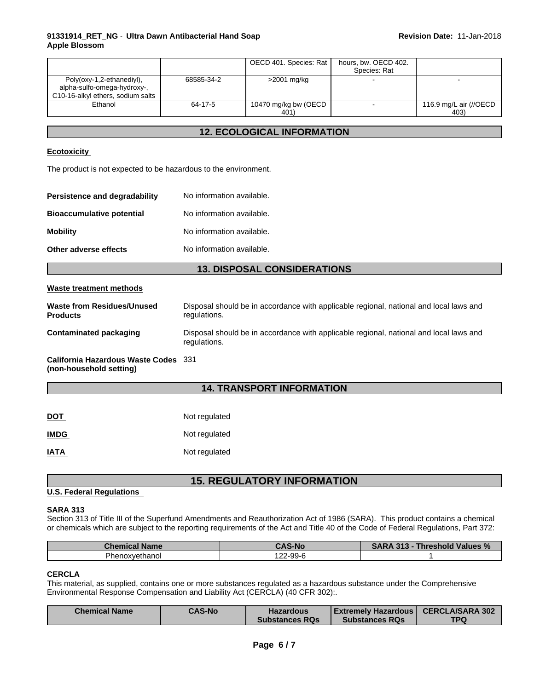### **91331914\_RET\_NG** - **Ultra Dawn AntibacterialHand Soap Apple Blossom**

|                                   |            | OECD 401. Species: Rat | hours, bw. OECD 402. |                        |  |
|-----------------------------------|------------|------------------------|----------------------|------------------------|--|
|                                   |            |                        | Species: Rat         |                        |  |
| Poly(oxy-1,2-ethanediyl),         | 68585-34-2 | >2001 mg/kg            |                      | -                      |  |
| alpha-sulfo-omega-hydroxy-,       |            |                        |                      |                        |  |
| C10-16-alkyl ethers, sodium salts |            |                        |                      |                        |  |
| Ethanol                           | 64-17-5    | 10470 mg/kg bw (OECD   |                      | 116.9 mg/L air (//OECD |  |
|                                   |            | 401)                   |                      | 403)                   |  |

# **12. ECOLOGICAL INFORMATION**

### **Ecotoxicity**

The product is not expected to be hazardous to the environment.

| Persistence and degradability    | No information available. |
|----------------------------------|---------------------------|
| <b>Bioaccumulative potential</b> | No information available. |
| <b>Mobility</b>                  | No information available. |
| Other adverse effects            | No information available. |

# **13. DISPOSAL CONSIDERATIONS**

#### **Waste treatment methods**

| Waste from Residues/Unused<br><b>Products</b>                   | Disposal should be in accordance with applicable regional, national and local laws and<br>regulations. |
|-----------------------------------------------------------------|--------------------------------------------------------------------------------------------------------|
| <b>Contaminated packaging</b>                                   | Disposal should be in accordance with applicable regional, national and local laws and<br>regulations. |
| California Hazardous Waste Codes 331<br>(non-household setting) |                                                                                                        |

# **14. TRANSPORT INFORMATION**

| $\underline{$ | Not regulated |
|---------------|---------------|
| <b>IMDG</b>   | Not regulated |
| <b>IATA</b>   | Not regulated |

# **15. REGULATORY INFORMATION**

### **U.S. Federal Regulations**

#### **SARA 313**

Section 313 of Title III of the Superfund Amendments and Reauthorization Act of 1986 (SARA). This product contains a chemical or chemicals which are subject to the reporting requirements of the Act and Title 40 of the Code of Federal Regulations, Part 372:

| <b>Chemical Name</b> | S-No                          | 242<br>Threshold Values %<br>2AD/ |
|----------------------|-------------------------------|-----------------------------------|
| Phenoxvethanol       | $\sim$<br>$22-99-f$<br>14 L C |                                   |

### **CERCLA**

This material, as supplied, contains one or more substances regulated as a hazardous substance under the Comprehensive Environmental Response Compensation and Liability Act (CERCLA) (40 CFR 302):.

| <b>CERCLA/SARA 302</b><br><b>CAS-No</b><br>  Extremely Hazardous  <br><b>Hazardous</b><br><b>TPQ</b><br><b>Substances RQs</b><br><b>Substances RQs</b> |  | <b>Chemical Name</b> |
|--------------------------------------------------------------------------------------------------------------------------------------------------------|--|----------------------|
|--------------------------------------------------------------------------------------------------------------------------------------------------------|--|----------------------|